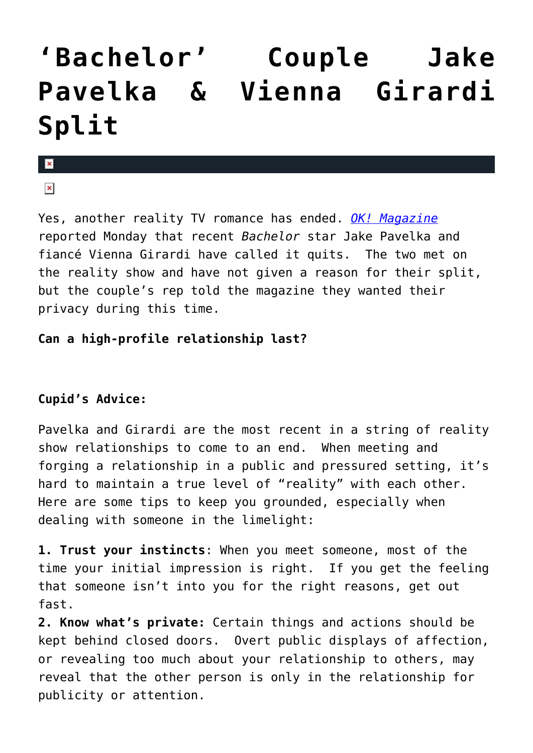## **['Bachelor' Couple Jake](https://cupidspulse.com/1129/no-roses-for-bachelor-couple-jake-pavelka-and-vienna-girardi/) [Pavelka & Vienna Girardi](https://cupidspulse.com/1129/no-roses-for-bachelor-couple-jake-pavelka-and-vienna-girardi/) [Split](https://cupidspulse.com/1129/no-roses-for-bachelor-couple-jake-pavelka-and-vienna-girardi/)**

## $\mathbf x$

 $\pmb{\times}$ 

Yes, another reality TV romance has ended. *[OK! Magazine](http://www.okmagazine.com/2010/06/jake-pavelka-vienna-girardi-its-over/)* reported Monday that recent *Bachelor* star Jake Pavelka and fiancé Vienna Girardi have called it quits. The two met on the reality show and have not given a reason for their split, but the couple's rep told the magazine they wanted their privacy during this time.

## **Can a high-profile relationship last?**

## **Cupid's Advice:**

Pavelka and Girardi are the most recent in a string of reality show relationships to come to an end. When meeting and forging a relationship in a public and pressured setting, it's hard to maintain a true level of "reality" with each other. Here are some tips to keep you grounded, especially when dealing with someone in the limelight:

**1. Trust your instincts**: When you meet someone, most of the time your initial impression is right. If you get the feeling that someone isn't into you for the right reasons, get out fast.

**2. Know what's private:** Certain things and actions should be kept behind closed doors. Overt public displays of affection, or revealing too much about your relationship to others, may reveal that the other person is only in the relationship for publicity or attention.